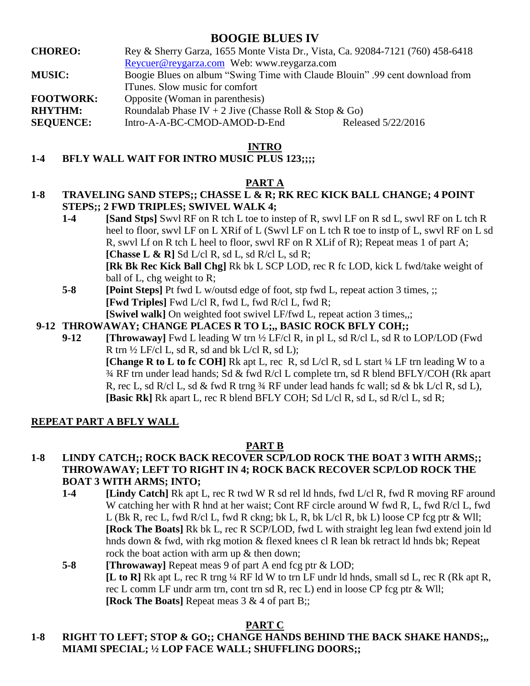# **BOOGIE BLUES IV**

- **CHOREO:** Rey & Sherry Garza, 1655 Monte Vista Dr., Vista, Ca. 92084-7121 (760) 458-6418 [Reycuer@reygarza.com](mailto:Reycuer@reygarza.com) Web: www.reygarza.com **MUSIC:** Boogie Blues on album "Swing Time with Claude Blouin" .99 cent download from ITunes. Slow music for comfort
- **FOOTWORK:** Opposite (Woman in parenthesis)

**RHYTHM:** Roundalab Phase IV + 2 Jive (Chasse Roll & Stop & Go)

**SEQUENCE:** Intro-A-A-BC-CMOD-AMOD-D-End Released 5/22/2016

### **INTRO**

## **1-4 BFLY WALL WAIT FOR INTRO MUSIC PLUS 123;;;;**

### **PART A**

## **1-8 TRAVELING SAND STEPS;; CHASSE L & R; RK REC KICK BALL CHANGE; 4 POINT STEPS;; 2 FWD TRIPLES; SWIVEL WALK 4;**

- **1-4 [Sand Stps]** Swvl RF on R tch L toe to instep of R, swvl LF on R sd L, swvl RF on L tch R heel to floor, swvl LF on L XRif of L (Swvl LF on L tch R toe to instp of L, swvl RF on L sd R, swvl Lf on R tch L heel to floor, swvl RF on R XLif of R); Repeat meas 1 of part A; **[Chasse L & R]** Sd L/cl R, sd L, sd R/cl L, sd R; **[Rk Bk Rec Kick Ball Chg]** Rk bk L SCP LOD, rec R fc LOD, kick L fwd/take weight of ball of L, chg weight to R;
- **5-8 [Point Steps]** Pt fwd L w/outsd edge of foot, stp fwd L, repeat action 3 times, ;; **[Fwd Triples]** Fwd L/cl R, fwd L, fwd R/cl L, fwd R;
- **[Swivel walk]** On weighted foot swivel LF/fwd L, repeat action 3 times,,;
- **9-12 THROWAWAY; CHANGE PLACES R TO L;,, BASIC ROCK BFLY COH;;** 
	- **9-12 [Throwaway]** Fwd L leading W trn ½ LF/cl R, in pl L, sd R/cl L, sd R to LOP/LOD (Fwd R trn  $\frac{1}{2}$  LF/cl L, sd R, sd and bk L/cl R, sd L); **[Change R to L to fc COH]** Rk apt L, rec R, sd L/cl R, sd L start 1/4 LF trn leading W to a ¾ RF trn under lead hands; Sd & fwd R/cl L complete trn, sd R blend BFLY/COH (Rk apart R, rec L, sd R/cl L, sd & fwd R trng  $\frac{3}{4}$  RF under lead hands fc wall; sd & bk L/cl R, sd L), **[Basic Rk]** Rk apart L, rec R blend BFLY COH; Sd L/cl R, sd L, sd R/cl L, sd R;

### **REPEAT PART A BFLY WALL**

### **PART B**

### **1-8 LINDY CATCH;; ROCK BACK RECOVER SCP/LOD ROCK THE BOAT 3 WITH ARMS;; THROWAWAY; LEFT TO RIGHT IN 4; ROCK BACK RECOVER SCP/LOD ROCK THE BOAT 3 WITH ARMS; INTO;**

- **1-4 [Lindy Catch]** Rk apt L, rec R twd W R sd rel ld hnds, fwd L/cl R, fwd R moving RF around W catching her with R hnd at her waist; Cont RF circle around W fwd R, L, fwd R/cl L, fwd L (Bk R, rec L, fwd R/cl L, fwd R ckng; bk L, R, bk L/cl R, bk L) loose CP fcg ptr & Wll; **[Rock The Boats]** Rk bk L, rec R SCP/LOD, fwd L with straight leg lean fwd extend join ld hnds down & fwd, with rkg motion & flexed knees cl R lean bk retract ld hnds bk; Repeat rock the boat action with arm up & then down;
- **5-8 [Throwaway]** Repeat meas 9 of part A end fcg ptr & LOD; **[L to R]** Rk apt L, rec R trng ¼ RF ld W to trn LF undr ld hnds, small sd L, rec R (Rk apt R, rec L comm LF undr arm trn, cont trn sd R, rec L) end in loose CP fcg ptr & Wll; **[Rock The Boats]** Repeat meas 3 & 4 of part B;;

# **PART C**

# **1-8 RIGHT TO LEFT; STOP & GO;; CHANGE HANDS BEHIND THE BACK SHAKE HANDS;,, MIAMI SPECIAL; ½ LOP FACE WALL; SHUFFLING DOORS;;**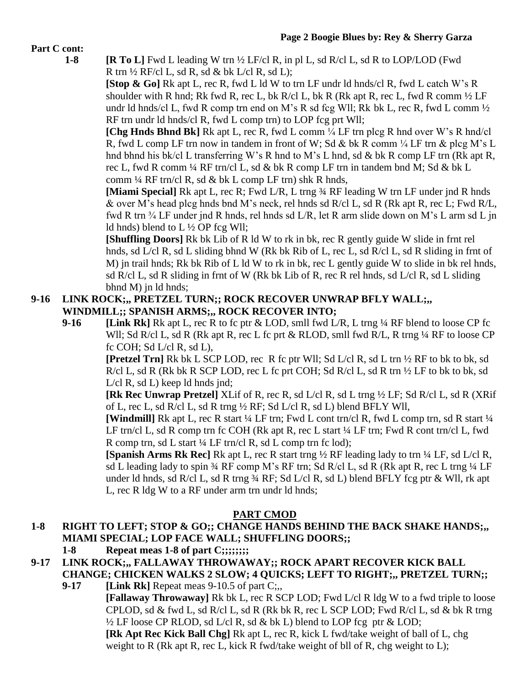### **Part C cont:**

**1-8 [R To L]** Fwd L leading W trn ½ LF/cl R, in pl L, sd R/cl L, sd R to LOP/LOD (Fwd R trn  $\frac{1}{2}$  RF/cl L, sd R, sd & bk L/cl R, sd L);

**[Stop & Go]** Rk apt L, rec R, fwd L ld W to trn LF undr ld hnds/cl R, fwd L catch W's R shoulder with R hnd; Rk fwd R, rec L, bk R/cl L, bk R (Rk apt R, rec L, fwd R comm  $\frac{1}{2}$  LF undr ld hnds/cl L, fwd R comp trn end on M's R sd fcg Wll; Rk bk L, rec R, fwd L comm  $\frac{1}{2}$ RF trn undr ld hnds/cl R, fwd L comp trn) to LOP fcg prt Wll;

**[Chg Hnds Bhnd Bk]** Rk apt L, rec R, fwd L comm ¼ LF trn plcg R hnd over W's R hnd/cl R, fwd L comp LF trn now in tandem in front of W; Sd & bk R comm  $\frac{1}{4}$  LF trn & plcg M's L hnd bhnd his bk/cl L transferring W's R hnd to M's L hnd, sd & bk R comp LF trn (Rk apt R, rec L, fwd R comm ¼ RF trn/cl L, sd & bk R comp LF trn in tandem bnd M; Sd & bk L comm  $\frac{1}{4}$  RF trn/cl R, sd & bk L comp LF trn) shk R hnds,

**[Miami Special]** Rk apt L, rec R; Fwd L/R, L trng ¾ RF leading W trn LF under jnd R hnds & over M's head plcg hnds bnd M's neck, rel hnds sd R/cl L, sd R (Rk apt R, rec L; Fwd R/L, fwd R trn <sup>3/4</sup> LF under jnd R hnds, rel hnds sd L/R, let R arm slide down on M's L arm sd L jn ld hnds) blend to L ½ OP fcg Wll;

**[Shuffling Doors]** Rk bk Lib of R ld W to rk in bk, rec R gently guide W slide in frnt rel hnds, sd L/cl R, sd L sliding bhnd W (Rk bk Rib of L, rec L, sd R/cl L, sd R sliding in frnt of M) jn trail hnds; Rk bk Rib of L ld W to rk in bk, rec L gently guide W to slide in bk rel hnds, sd R/cl L, sd R sliding in frnt of W (Rk bk Lib of R, rec R rel hnds, sd L/cl R, sd L sliding bhnd M) jn ld hnds;

# **9-16 LINK ROCK;,, PRETZEL TURN;; ROCK RECOVER UNWRAP BFLY WALL;,, WINDMILL;; SPANISH ARMS;,, ROCK RECOVER INTO;**

**9-16 [Link Rk]** Rk apt L, rec R to fc ptr & LOD, smll fwd L/R, L trng ¼ RF blend to loose CP fc Wll; Sd R/cl L, sd R (Rk apt R, rec L fc prt & RLOD, smll fwd R/L, R trng 1/4 RF to loose CP fc COH; Sd L/cl R, sd L),

**[Pretzel Trn]** Rk bk L SCP LOD, rec R fc ptr Wll; Sd L/cl R, sd L trn ½ RF to bk to bk, sd R/cl L, sd R (Rk bk R SCP LOD, rec L fc prt COH; Sd R/cl L, sd R trn ½ LF to bk to bk, sd L/cl R, sd L) keep ld hnds jnd;

**[Rk Rec Unwrap Pretzel]** XLif of R, rec R, sd L/cl R, sd L trng ½ LF; Sd R/cl L, sd R (XRif of L, rec L, sd R/cl L, sd R trng ½ RF; Sd L/cl R, sd L) blend BFLY Wll,

**[Windmill]** Rk apt L, rec R start ¼ LF trn; Fwd L cont trn/cl R, fwd L comp trn, sd R start ¼ LF trn/cl L, sd R comp trn fc COH (Rk apt R, rec L start  $\frac{1}{4}$  LF trn; Fwd R cont trn/cl L, fwd R comp trn, sd L start  $\frac{1}{4}$  LF trn/cl R, sd L comp trn fc lod);

**[Spanish Arms Rk Rec]** Rk apt L, rec R start trng  $\frac{1}{2}$  RF leading lady to trn  $\frac{1}{4}$  LF, sd L/cl R, sd L leading lady to spin  $\frac{3}{4}$  RF comp M's RF trn; Sd R/cl L, sd R (Rk apt R, rec L trng  $\frac{1}{4}$  LF under ld hnds, sd R/cl L, sd R trng  $\frac{3}{4}$  RF; Sd L/cl R, sd L) blend BFLY fcg ptr & Wll, rk apt L, rec R ldg W to a RF under arm trn undr ld hnds;

# **PART CMOD**

# **1-8 RIGHT TO LEFT; STOP & GO;; CHANGE HANDS BEHIND THE BACK SHAKE HANDS;,, MIAMI SPECIAL; LOP FACE WALL; SHUFFLING DOORS;;**

- **1-8 Repeat meas 1-8 of part C;;;;;;;;**
- **9-17 LINK ROCK;,, FALLAWAY THROWAWAY;; ROCK APART RECOVER KICK BALL CHANGE; CHICKEN WALKS 2 SLOW; 4 QUICKS; LEFT TO RIGHT;,, PRETZEL TURN;;** 
	- **9-17 [Link Rk]** Repeat meas 9-10.5 of part C;,, **[Fallaway Throwaway]** Rk bk L, rec R SCP LOD; Fwd L/cl R ldg W to a fwd triple to loose CPLOD, sd & fwd L, sd R/cl L, sd R (Rk bk R, rec L SCP LOD; Fwd R/cl L, sd & bk R trng  $\frac{1}{2}$  LF loose CP RLOD, sd L/cl R, sd & bk L) blend to LOP fcg ptr & LOD; **[Rk Apt Rec Kick Ball Chg]** Rk apt L, rec R, kick L fwd/take weight of ball of L, chg weight to R (Rk apt R, rec L, kick R fwd/take weight of bll of R, chg weight to L);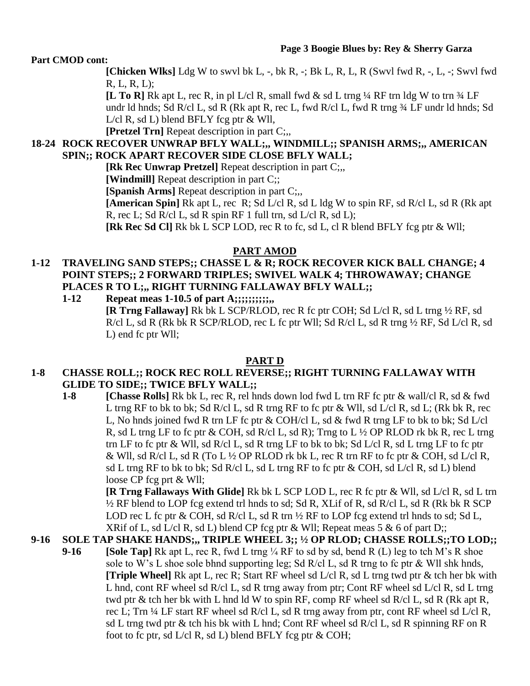### **Part CMOD cont:**

**[Chicken Wlks]** Ldg W to swvl bk L, -, bk R, -; Bk L, R, L, R (Swvl fwd R, -, L, -; Swvl fwd R, L, R, L);

**[L To R]** Rk apt L, rec R, in pl L/cl R, small fwd & sd L trng ¼ RF trn ldg W to trn ¾ LF undr ld hnds; Sd R/cl L, sd R (Rk apt R, rec L, fwd R/cl L, fwd R trng ¾ LF undr ld hnds; Sd L/cl R, sd L) blend BFLY fcg ptr & Wll,

**[Pretzel Trn]** Repeat description in part C;,

### **18-24 ROCK RECOVER UNWRAP BFLY WALL;,, WINDMILL;; SPANISH ARMS;,, AMERICAN SPIN;; ROCK APART RECOVER SIDE CLOSE BFLY WALL;**

**[Rk Rec Unwrap Pretzel]** Repeat description in part C;,,

**[Windmill]** Repeat description in part C;;

**[Spanish Arms]** Repeat description in part C;..

**[American Spin]** Rk apt L, rec R; Sd L/cl R, sd L ldg W to spin RF, sd R/cl L, sd R (Rk apt R, rec L; Sd R/cl L, sd R spin RF 1 full trn, sd  $L$ /cl R, sd L);

**[Rk Rec Sd Cl]** Rk bk L SCP LOD, rec R to fc, sd L, cl R blend BFLY fcg ptr & Wll;

### **PART AMOD**

# **1-12 TRAVELING SAND STEPS;; CHASSE L & R; ROCK RECOVER KICK BALL CHANGE; 4 POINT STEPS;; 2 FORWARD TRIPLES; SWIVEL WALK 4; THROWAWAY; CHANGE PLACES R TO L;,, RIGHT TURNING FALLAWAY BFLY WALL;;**

**1-12 Repeat meas 1-10.5 of part A;;;;;;;;;;,,**

**[R Trng Fallaway]** Rk bk L SCP/RLOD, rec R fc ptr COH; Sd L/cl R, sd L trng ½ RF, sd R/cl L, sd R (Rk bk R SCP/RLOD, rec L fc ptr Wll; Sd R/cl L, sd R trng ½ RF, Sd L/cl R, sd L) end fc ptr Wll;

#### **PART D**

### **1-8 CHASSE ROLL;; ROCK REC ROLL REVERSE;; RIGHT TURNING FALLAWAY WITH GLIDE TO SIDE;; TWICE BFLY WALL;;**

**1-8 [Chasse Rolls]** Rk bk L, rec R, rel hnds down lod fwd L trn RF fc ptr & wall/cl R, sd & fwd L trng RF to bk to bk; Sd R/cl L, sd R trng RF to fc ptr & Wll, sd L/cl R, sd L; (Rk bk R, rec L, No hnds joined fwd R trn LF fc ptr & COH/cl L, sd & fwd R trng LF to bk to bk; Sd L/cl R, sd L trng LF to fc ptr  $\&$  COH, sd R/cl L, sd R); Trng to L  $\frac{1}{2}$  OP RLOD rk bk R, rec L trng trn LF to fc ptr & Wll, sd R/cl L, sd R trng LF to bk to bk; Sd L/cl R, sd L trng LF to fc ptr & Wll, sd R/cl L, sd R (To L  $\frac{1}{2}$  OP RLOD rk bk L, rec R trn RF to fc ptr & COH, sd L/cl R, sd L trng RF to bk to bk; Sd R/cl L, sd L trng RF to fc ptr & COH, sd L/cl R, sd L) blend loose CP fcg prt & Wll;

**[R Trng Fallaways With Glide]** Rk bk L SCP LOD L, rec R fc ptr & Wll, sd L/cl R, sd L trn  $\frac{1}{2}$  RF blend to LOP fcg extend trl hnds to sd; Sd R, XLif of R, sd R/cl L, sd R (Rk bk R SCP) LOD rec L fc ptr  $\&$  COH, sd R/cl L, sd R trn  $\frac{1}{2}$  RF to LOP fcg extend trl hnds to sd; Sd L, XRif of L, sd L/cl R, sd L) blend CP fcg ptr  $\&$  Wll; Repeat meas 5  $\&$  6 of part D;;

# **9-16 SOLE TAP SHAKE HANDS;,, TRIPLE WHEEL 3;; ½ OP RLOD; CHASSE ROLLS;;TO LOD;;**

**9-16 [Sole Tap]** Rk apt L, rec R, fwd L trng ¼ RF to sd by sd, bend R (L) leg to tch M's R shoe sole to W's L shoe sole bhnd supporting leg; Sd R/cl L, sd R trng to fc ptr  $\&$  Wll shk hnds, **[Triple Wheel]** Rk apt L, rec R; Start RF wheel sd L/cl R, sd L trng twd ptr & tch her bk with L hnd, cont RF wheel sd R/cl L, sd R trng away from ptr; Cont RF wheel sd L/cl R, sd L trng twd ptr & tch her bk with L hnd ld W to spin RF, comp RF wheel sd R/cl L, sd R (Rk apt R, rec L; Trn  $\frac{1}{4}$  LF start RF wheel sd R/cl L, sd R trng away from ptr, cont RF wheel sd L/cl R, sd L trng twd ptr & tch his bk with L hnd; Cont RF wheel sd R/cl L, sd R spinning RF on R foot to fc ptr, sd  $L/c$  R, sd L) blend BFLY fcg ptr  $& COH$ ;